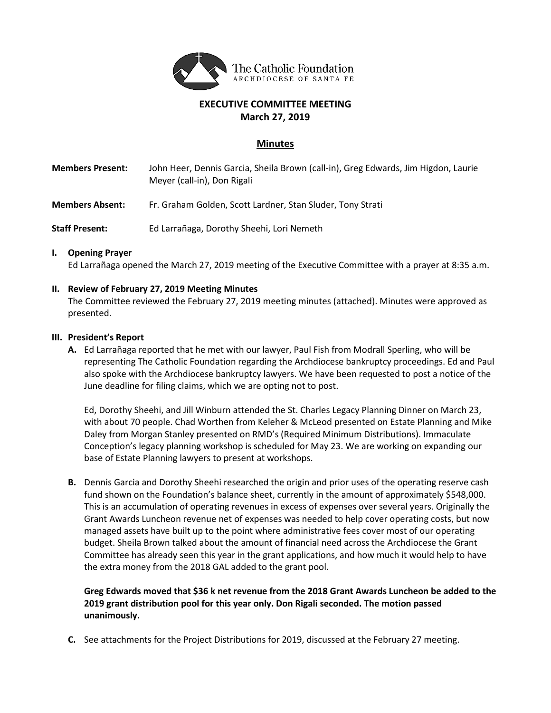

### **EXECUTIVE COMMITTEE MEETING March 27, 2019**

#### **Minutes**

- **Members Present:** John Heer, Dennis Garcia, Sheila Brown (call-in), Greg Edwards, Jim Higdon, Laurie Meyer (call-in), Don Rigali
- **Members Absent:** Fr. Graham Golden, Scott Lardner, Stan Sluder, Tony Strati
- **Staff Present:** Ed Larrañaga, Dorothy Sheehi, Lori Nemeth

#### **I. Opening Prayer**

Ed Larrañaga opened the March 27, 2019 meeting of the Executive Committee with a prayer at 8:35 a.m.

#### **II. Review of February 27, 2019 Meeting Minutes**

The Committee reviewed the February 27, 2019 meeting minutes (attached). Minutes were approved as presented.

#### **III. President's Report**

**A.** Ed Larrañaga reported that he met with our lawyer, Paul Fish from Modrall Sperling, who will be representing The Catholic Foundation regarding the Archdiocese bankruptcy proceedings. Ed and Paul also spoke with the Archdiocese bankruptcy lawyers. We have been requested to post a notice of the June deadline for filing claims, which we are opting not to post.

Ed, Dorothy Sheehi, and Jill Winburn attended the St. Charles Legacy Planning Dinner on March 23, with about 70 people. Chad Worthen from Keleher & McLeod presented on Estate Planning and Mike Daley from Morgan Stanley presented on RMD's (Required Minimum Distributions). Immaculate Conception's legacy planning workshop is scheduled for May 23. We are working on expanding our base of Estate Planning lawyers to present at workshops.

**B.** Dennis Garcia and Dorothy Sheehi researched the origin and prior uses of the operating reserve cash fund shown on the Foundation's balance sheet, currently in the amount of approximately \$548,000. This is an accumulation of operating revenues in excess of expenses over several years. Originally the Grant Awards Luncheon revenue net of expenses was needed to help cover operating costs, but now managed assets have built up to the point where administrative fees cover most of our operating budget. Sheila Brown talked about the amount of financial need across the Archdiocese the Grant Committee has already seen this year in the grant applications, and how much it would help to have the extra money from the 2018 GAL added to the grant pool.

**Greg Edwards moved that \$36 k net revenue from the 2018 Grant Awards Luncheon be added to the 2019 grant distribution pool for this year only. Don Rigali seconded. The motion passed unanimously.**

**C.** See attachments for the Project Distributions for 2019, discussed at the February 27 meeting.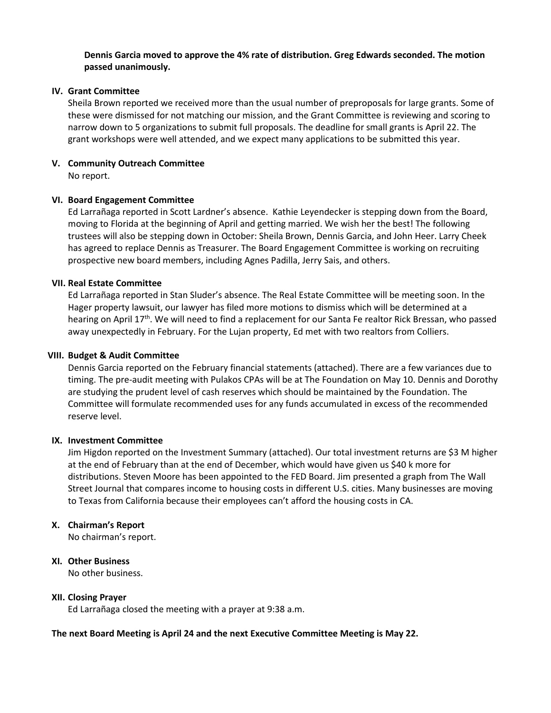#### **Dennis Garcia moved to approve the 4% rate of distribution. Greg Edwards seconded. The motion passed unanimously.**

#### **IV. Grant Committee**

Sheila Brown reported we received more than the usual number of preproposals for large grants. Some of these were dismissed for not matching our mission, and the Grant Committee is reviewing and scoring to narrow down to 5 organizations to submit full proposals. The deadline for small grants is April 22. The grant workshops were well attended, and we expect many applications to be submitted this year.

## **V. Community Outreach Committee**

No report.

#### **VI. Board Engagement Committee**

Ed Larrañaga reported in Scott Lardner's absence. Kathie Leyendecker is stepping down from the Board, moving to Florida at the beginning of April and getting married. We wish her the best! The following trustees will also be stepping down in October: Sheila Brown, Dennis Garcia, and John Heer. Larry Cheek has agreed to replace Dennis as Treasurer. The Board Engagement Committee is working on recruiting prospective new board members, including Agnes Padilla, Jerry Sais, and others.

#### **VII. Real Estate Committee**

Ed Larrañaga reported in Stan Sluder's absence. The Real Estate Committee will be meeting soon. In the Hager property lawsuit, our lawyer has filed more motions to dismiss which will be determined at a hearing on April 17<sup>th</sup>. We will need to find a replacement for our Santa Fe realtor Rick Bressan, who passed away unexpectedly in February. For the Lujan property, Ed met with two realtors from Colliers.

#### **VIII. Budget & Audit Committee**

Dennis Garcia reported on the February financial statements (attached). There are a few variances due to timing. The pre-audit meeting with Pulakos CPAs will be at The Foundation on May 10. Dennis and Dorothy are studying the prudent level of cash reserves which should be maintained by the Foundation. The Committee will formulate recommended uses for any funds accumulated in excess of the recommended reserve level.

#### **IX. Investment Committee**

Jim Higdon reported on the Investment Summary (attached). Our total investment returns are \$3 M higher at the end of February than at the end of December, which would have given us \$40 k more for distributions. Steven Moore has been appointed to the FED Board. Jim presented a graph from The Wall Street Journal that compares income to housing costs in different U.S. cities. Many businesses are moving to Texas from California because their employees can't afford the housing costs in CA.

#### **X. Chairman's Report**

No chairman's report.

#### **XI. Other Business**

No other business.

#### **XII. Closing Prayer**

Ed Larrañaga closed the meeting with a prayer at 9:38 a.m.

#### **The next Board Meeting is April 24 and the next Executive Committee Meeting is May 22.**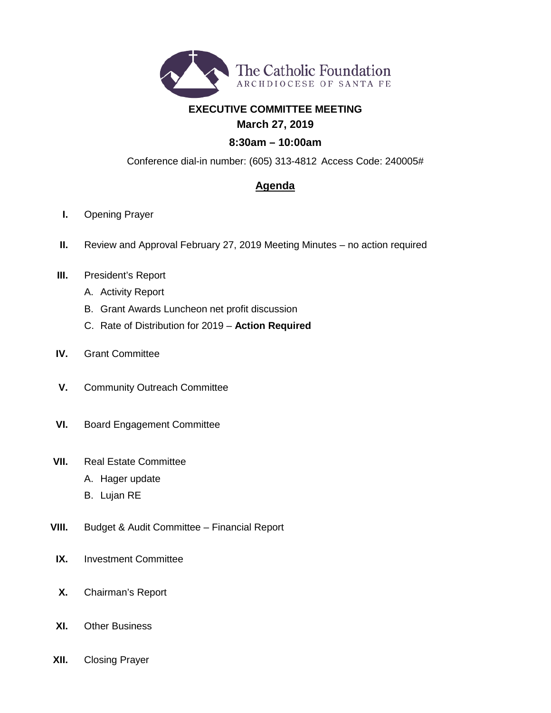

### **EXECUTIVE COMMITTEE MEETING March 27, 2019**

# **8:30am – 10:00am**

Conference dial-in number: (605) 313-4812 Access Code: 240005#

### **Agenda**

- **I.** Opening Prayer
- **II.** Review and Approval February 27, 2019 Meeting Minutes no action required
- **III.** President's Report
	- A. Activity Report
	- B. Grant Awards Luncheon net profit discussion
	- C. Rate of Distribution for 2019 **Action Required**
- **IV.** Grant Committee
- **V.** Community Outreach Committee
- **VI.** Board Engagement Committee
- **VII.** Real Estate Committee
	- A. Hager update
	- B. Lujan RE
- **VIII.** Budget & Audit Committee Financial Report
- **IX.** Investment Committee
- **X.** Chairman's Report
- **XI.** Other Business
- **XII.** Closing Prayer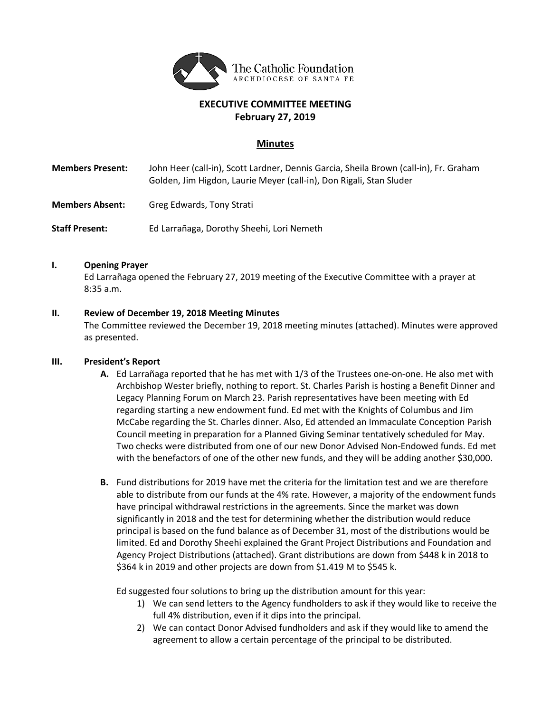

### **EXECUTIVE COMMITTEE MEETING February 27, 2019**

#### **Minutes**

- **Members Present:** John Heer (call-in), Scott Lardner, Dennis Garcia, Sheila Brown (call-in), Fr. Graham Golden, Jim Higdon, Laurie Meyer (call-in), Don Rigali, Stan Sluder
- **Members Absent:** Greg Edwards, Tony Strati

**Staff Present:** Ed Larrañaga, Dorothy Sheehi, Lori Nemeth

#### **I. Opening Prayer**

Ed Larrañaga opened the February 27, 2019 meeting of the Executive Committee with a prayer at 8:35 a.m.

#### **II. Review of December 19, 2018 Meeting Minutes**

The Committee reviewed the December 19, 2018 meeting minutes (attached). Minutes were approved as presented.

#### **III. President's Report**

- **A.** Ed Larrañaga reported that he has met with 1/3 of the Trustees one-on-one. He also met with Archbishop Wester briefly, nothing to report. St. Charles Parish is hosting a Benefit Dinner and Legacy Planning Forum on March 23. Parish representatives have been meeting with Ed regarding starting a new endowment fund. Ed met with the Knights of Columbus and Jim McCabe regarding the St. Charles dinner. Also, Ed attended an Immaculate Conception Parish Council meeting in preparation for a Planned Giving Seminar tentatively scheduled for May. Two checks were distributed from one of our new Donor Advised Non-Endowed funds. Ed met with the benefactors of one of the other new funds, and they will be adding another \$30,000.
- **B.** Fund distributions for 2019 have met the criteria for the limitation test and we are therefore able to distribute from our funds at the 4% rate. However, a majority of the endowment funds have principal withdrawal restrictions in the agreements. Since the market was down significantly in 2018 and the test for determining whether the distribution would reduce principal is based on the fund balance as of December 31, most of the distributions would be limited. Ed and Dorothy Sheehi explained the Grant Project Distributions and Foundation and Agency Project Distributions (attached). Grant distributions are down from \$448 k in 2018 to \$364 k in 2019 and other projects are down from \$1.419 M to \$545 k.

Ed suggested four solutions to bring up the distribution amount for this year:

- 1) We can send letters to the Agency fundholders to ask if they would like to receive the full 4% distribution, even if it dips into the principal.
- 2) We can contact Donor Advised fundholders and ask if they would like to amend the agreement to allow a certain percentage of the principal to be distributed.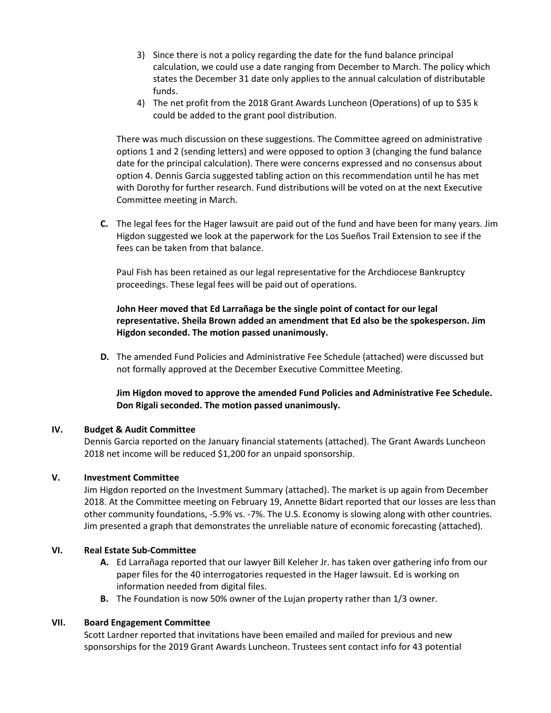- 3) Since there is not a policy regarding the date for the fund balance principal calculation, we could use a date ranging from December to March. The policy which states the December 31 date only applies to the annual calculation of distributable funds.
- 4) The net profit from the 2018 Grant Awards Luncheon (Operations) of up to \$35 k could be added to the grant pool distribution.

There was much discussion on these suggestions. The Committee agreed on administrative options 1 and 2 (sending letters) and were opposed to option 3 (changing the fund balance date for the principal calculation). There were concerns expressed and no consensus about option 4. Dennis Garcia suggested tabling action on this recommendation until he has met with Dorothy for further research. Fund distributions will be voted on at the next Executive Committee meeting in March.

**C.** The legal fees for the Hager lawsuit are paid out of the fund and have been for many years. Jim Higdon suggested we look at the paperwork for the Los Sueños Trail Extension to see if the fees can be taken from that balance.

Paul Fish has been retained as our legal representative for the Archdiocese Bankruptcy proceedings. These legal fees will be paid out of operations.

#### **John Heer moved that Ed Larrañaga be the single point of contact for our legal representative. Sheila Brown added an amendment that Ed also be the spokesperson. Jim Higdon seconded. The motion passed unanimously.**

**D.** The amended Fund Policies and Administrative Fee Schedule (attached) were discussed but not formally approved at the December Executive Committee Meeting.

**Jim Higdon moved to approve the amended Fund Policies and Administrative Fee Schedule. Don Rigali seconded. The motion passed unanimously.**

#### **IV. Budget & Audit Committee**

Dennis Garcia reported on the January financial statements (attached). The Grant Awards Luncheon 2018 net income will be reduced \$1,200 for an unpaid sponsorship.

#### **V. Investment Committee**

Jim Higdon reported on the Investment Summary (attached). The market is up again from December 2018. At the Committee meeting on February 19, Annette Bidart reported that our losses are less than other community foundations, -5.9% vs. -7%. The U.S. Economy is slowing along with other countries. Jim presented a graph that demonstrates the unreliable nature of economic forecasting (attached).

#### **VI. Real Estate Sub-Committee**

- **A.** Ed Larrañaga reported that our lawyer Bill Keleher Jr. has taken over gathering info from our paper files for the 40 interrogatories requested in the Hager lawsuit. Ed is working on information needed from digital files.
- **B.** The Foundation is now 50% owner of the Lujan property rather than 1/3 owner.

#### **VII. Board Engagement Committee**

Scott Lardner reported that invitations have been emailed and mailed for previous and new sponsorships for the 2019 Grant Awards Luncheon. Trustees sent contact info for 43 potential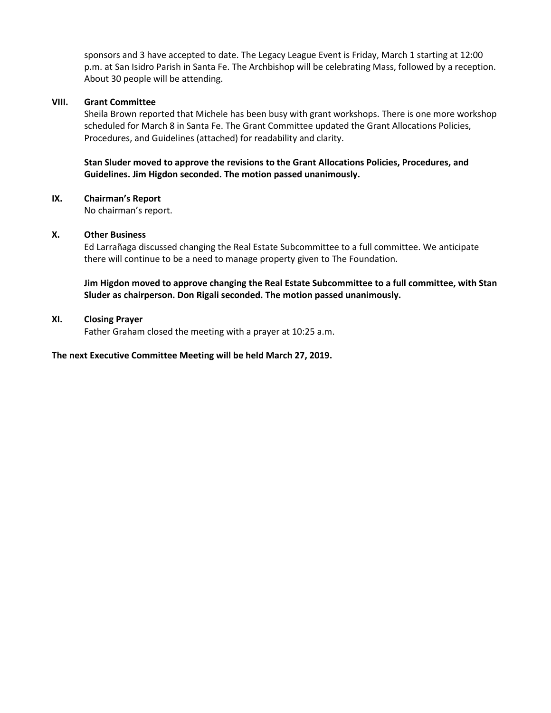sponsors and 3 have accepted to date. The Legacy League Event is Friday, March 1 starting at 12:00 p.m. at San Isidro Parish in Santa Fe. The Archbishop will be celebrating Mass, followed by a reception. About 30 people will be attending.

#### **VIII. Grant Committee**

Sheila Brown reported that Michele has been busy with grant workshops. There is one more workshop scheduled for March 8 in Santa Fe. The Grant Committee updated the Grant Allocations Policies, Procedures, and Guidelines (attached) for readability and clarity.

#### **Stan Sluder moved to approve the revisions to the Grant Allocations Policies, Procedures, and Guidelines. Jim Higdon seconded. The motion passed unanimously.**

#### **IX. Chairman's Report**

No chairman's report.

#### **X. Other Business**

Ed Larrañaga discussed changing the Real Estate Subcommittee to a full committee. We anticipate there will continue to be a need to manage property given to The Foundation.

#### **Jim Higdon moved to approve changing the Real Estate Subcommittee to a full committee, with Stan Sluder as chairperson. Don Rigali seconded. The motion passed unanimously.**

#### **XI. Closing Prayer**

Father Graham closed the meeting with a prayer at 10:25 a.m.

#### **The next Executive Committee Meeting will be held March 27, 2019.**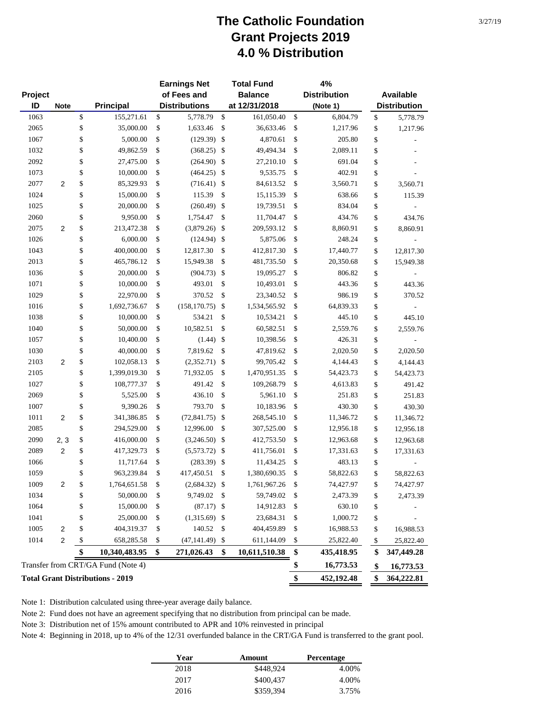## **The Catholic Foundation Grant Projects 2019 4.0 % Distribution**

|         |                |                                         | <b>Earnings Net</b>     |                            | <b>Total Fund</b> | 4%                  |                      |
|---------|----------------|-----------------------------------------|-------------------------|----------------------------|-------------------|---------------------|----------------------|
| Project |                |                                         | of Fees and             |                            | <b>Balance</b>    | <b>Distribution</b> | Available            |
| ID      | <b>Note</b>    | <b>Principal</b>                        | <b>Distributions</b>    |                            | at 12/31/2018     | (Note 1)            | <b>Distribution</b>  |
| 1063    |                | \$<br>155,271.61                        | \$<br>5,778.79          | $\boldsymbol{\mathsf{S}}$  | 161,050.40        | \$<br>6,804.79      | \$<br>5,778.79       |
| 2065    |                | \$<br>35,000.00                         | \$<br>1,633.46          | \$                         | 36,633.46         | \$<br>1,217.96      | \$<br>1,217.96       |
| 1067    |                | \$<br>5,000.00                          | \$<br>(129.39)          | $\boldsymbol{\mathsf{\$}}$ | 4,870.61          | \$<br>205.80        | \$                   |
| 1032    |                | \$<br>49,862.59                         | \$<br>(368.25)          | $\mathbb{S}$               | 49,494.34         | \$<br>2,089.11      | \$                   |
| 2092    |                | \$<br>27,475.00                         | \$<br>(264.90)          | $\sqrt[6]{3}$              | 27,210.10         | \$<br>691.04        | \$                   |
| 1073    |                | \$<br>10,000.00                         | \$<br>(464.25)          | $\sqrt[6]{3}$              | 9,535.75          | \$<br>402.91        | \$                   |
| 2077    | $\overline{2}$ | \$<br>85,329.93                         | \$<br>(716.41)          | $\boldsymbol{\mathsf{\$}}$ | 84,613.52         | \$<br>3,560.71      | \$<br>3,560.71       |
| 1024    |                | \$<br>15,000.00                         | \$<br>115.39            | \$                         | 15,115.39         | \$<br>638.66        | \$<br>115.39         |
| 1025    |                | \$<br>20,000.00                         | \$<br>(260.49)          | \$                         | 19,739.51         | \$<br>834.04        | \$                   |
| 2060    |                | \$<br>9,950.00                          | \$<br>1,754.47          | \$                         | 11,704.47         | \$<br>434.76        | \$<br>434.76         |
| 2075    | 2              | \$<br>213,472.38                        | \$<br>(3,879.26)        | \$                         | 209,593.12        | \$<br>8,860.91      | \$<br>8,860.91       |
| 1026    |                | \$<br>6,000.00                          | \$<br>(124.94)          | \$                         | 5,875.06          | \$<br>248.24        | \$                   |
| 1043    |                | \$<br>400,000.00                        | \$<br>12,817.30         | \$                         | 412,817.30        | \$<br>17,440.77     | \$<br>12,817.30      |
| 2013    |                | \$<br>465,786.12                        | \$<br>15,949.38         | \$                         | 481,735.50        | \$<br>20,350.68     | \$<br>15,949.38      |
| 1036    |                | \$<br>20,000.00                         | \$<br>(904.73)          | \$                         | 19,095.27         | \$<br>806.82        | \$                   |
| 1071    |                | \$<br>10,000.00                         | \$<br>493.01            | \$                         | 10,493.01         | \$<br>443.36        | \$<br>443.36         |
| 1029    |                | \$<br>22,970.00                         | \$<br>370.52            | \$                         | 23,340.52         | \$<br>986.19        | \$<br>370.52         |
| 1016    |                | \$<br>1,692,736.67                      | \$<br>(158, 170.75)     | \$                         | 1,534,565.92      | \$<br>64,839.33     | \$<br>$\blacksquare$ |
| 1038    |                | \$<br>10,000.00                         | \$<br>534.21            | \$                         | 10,534.21         | \$<br>445.10        | \$<br>445.10         |
| 1040    |                | \$<br>50,000.00                         | \$<br>10,582.51         | \$                         | 60,582.51         | \$<br>2,559.76      | \$<br>2,559.76       |
| 1057    |                | \$<br>10,400.00                         | \$<br>(1.44)            | \$                         | 10,398.56         | \$<br>426.31        | \$                   |
| 1030    |                | \$<br>40,000.00                         | \$<br>7,819.62          | \$                         | 47,819.62         | \$<br>2,020.50      | \$<br>2,020.50       |
| 2103    | $\overline{2}$ | \$<br>102,058.13                        | \$<br>(2,352.71)        | \$                         | 99,705.42         | \$<br>4,144.43      | \$<br>4,144.43       |
| 2105    |                | \$<br>1,399,019.30                      | \$<br>71,932.05         | \$                         | 1,470,951.35      | \$<br>54,423.73     | \$<br>54,423.73      |
| 1027    |                | \$<br>108,777.37                        | \$<br>491.42            | \$                         | 109,268.79        | \$<br>4,613.83      | \$<br>491.42         |
| 2069    |                | \$<br>5,525.00                          | \$<br>436.10            | \$                         | 5,961.10          | \$<br>251.83        | \$<br>251.83         |
| 1007    |                | \$<br>9,390.26                          | \$<br>793.70            | \$                         | 10,183.96         | \$<br>430.30        | \$<br>430.30         |
| 1011    | $\overline{c}$ | \$<br>341,386.85                        | \$<br>(72, 841.75)      | \$                         | 268,545.10        | \$<br>11,346.72     | \$<br>11,346.72      |
| 2085    |                | \$<br>294,529.00                        | \$<br>12,996.00         | \$                         | 307,525.00        | \$<br>12,956.18     | \$<br>12,956.18      |
| 2090    | 2, 3           | \$<br>416,000.00                        | \$<br>(3,246.50)        | \$                         | 412,753.50        | \$<br>12,963.68     | \$<br>12,963.68      |
| 2089    | 2              | \$<br>417,329.73                        | \$<br>(5,573.72)        | \$                         | 411,756.01        | \$<br>17,331.63     | \$<br>17,331.63      |
| 1066    |                | \$<br>11,717.64                         | \$<br>(283.39)          | \$                         | 11,434.25         | \$<br>483.13        | \$                   |
| 1059    |                | \$<br>963,239.84                        | \$<br>417,450.51        | \$                         | 1,380,690.35      | \$<br>58,822.63     | \$<br>58,822.63      |
| 1009    | 2              | \$<br>1,764,651.58                      | \$<br>$(2,684.32)$ \$   |                            | 1,761,967.26      | \$<br>74,427.97     | \$<br>74,427.97      |
| 1034    |                | \$<br>50,000.00                         | \$<br>9,749.02 \$       |                            | 59,749.02         | \$<br>2,473.39      | \$<br>2,473.39       |
| 1064    |                | \$<br>15,000.00                         | \$<br>$(87.17)$ \$      |                            | 14,912.83         | \$<br>630.10        | \$                   |
| 1041    |                | \$<br>25,000.00                         | \$<br>$(1,315.69)$ \$   |                            | 23,684.31         | \$<br>1,000.72      | \$                   |
| 1005    | 2              | \$<br>404,319.37                        | \$<br>140.52            | \$                         | 404,459.89        | \$<br>16,988.53     | \$<br>16,988.53      |
| 1014    | $\overline{2}$ | \$<br>658,285.58                        | \$<br>$(47, 141.49)$ \$ |                            | 611,144.09        | \$<br>25,822.40     | \$<br>25,822.40      |
|         |                | \$<br>10,340,483.95                     | \$<br>271,026.43        | \$                         | 10,611,510.38     | \$<br>435,418.95    | \$<br>347,449.28     |
|         |                | Transfer from CRT/GA Fund (Note 4)      |                         |                            |                   | \$<br>16,773.53     | \$<br>16,773.53      |
|         |                | <b>Total Grant Distributions - 2019</b> |                         |                            |                   | \$<br>452,192.48    | \$<br>364,222.81     |

Note 1: Distribution calculated using three-year average daily balance.

Note 2: Fund does not have an agreement specifying that no distribution from principal can be made.

Note 3: Distribution net of 15% amount contributed to APR and 10% reinvested in principal

Note 4: Beginning in 2018, up to 4% of the 12/31 overfunded balance in the CRT/GA Fund is transferred to the grant pool.

| Year | Amount    | <b>Percentage</b> |
|------|-----------|-------------------|
| 2018 | \$448.924 | 4.00%             |
| 2017 | \$400,437 | 4.00%             |
| 2016 | \$359,394 | 3.75%             |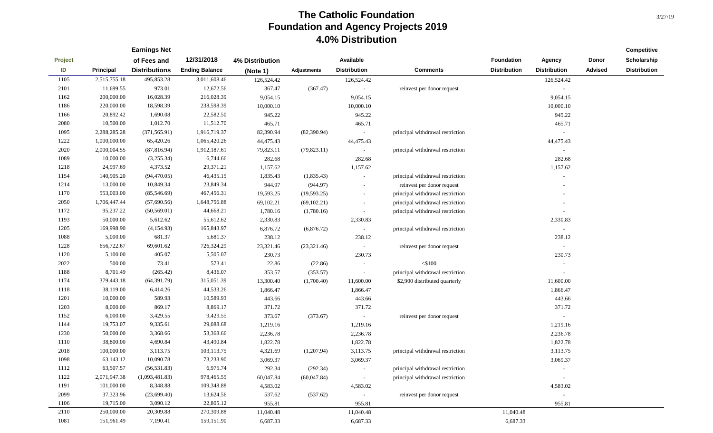|         |              | <b>Earnings Net</b>  |                       |                 |                    |                          |                                  |                     |                          |                | Competitive         |
|---------|--------------|----------------------|-----------------------|-----------------|--------------------|--------------------------|----------------------------------|---------------------|--------------------------|----------------|---------------------|
| Project |              | of Fees and          | 12/31/2018            | 4% Distribution |                    | Available                |                                  | Foundation          | <b>Agency</b>            | Donor          | Scholarship         |
| ID      | Principal    | <b>Distributions</b> | <b>Ending Balance</b> | (Note 1)        | <b>Adjustments</b> | <b>Distribution</b>      | <b>Comments</b>                  | <b>Distribution</b> | <b>Distribution</b>      | <b>Advised</b> | <b>Distribution</b> |
| 1105    | 2,515,755.18 | 495,853.28           | 3,011,608.46          | 126,524.42      |                    | 126,524.42               |                                  |                     | 126,524.42               |                |                     |
| 2101    | 11,699.55    | 973.01               | 12,672.56             | 367.47          | (367.47)           | $\sim$                   | reinvest per donor request       |                     | $\overline{\phantom{a}}$ |                |                     |
| 1162    | 200,000.00   | 16,028.39            | 216,028.39            | 9,054.15        |                    | 9,054.15                 |                                  |                     | 9,054.15                 |                |                     |
| 1186    | 220,000.00   | 18,598.39            | 238,598.39            | 10,000.10       |                    | 10,000.10                |                                  |                     | 10,000.10                |                |                     |
| 1166    | 20,892.42    | 1,690.08             | 22,582.50             | 945.22          |                    | 945.22                   |                                  |                     | 945.22                   |                |                     |
| 2080    | 10,500.00    | 1,012.70             | 11,512.70             | 465.71          |                    | 465.71                   |                                  |                     | 465.71                   |                |                     |
| 1095    | 2,288,285.28 | (371, 565.91)        | 1,916,719.37          | 82,390.94       | (82,390.94)        | $\sim$                   | principal withdrawal restriction |                     | $\sim$                   |                |                     |
| 1222    | 1,000,000.00 | 65,420.26            | 1,065,420.26          | 44,475.43       |                    | 44,475.43                |                                  |                     | 44,475.43                |                |                     |
| 2020    | 2,000,004.55 | (87, 816.94)         | 1,912,187.61          | 79,823.11       | (79,823.11)        | $\sim$                   | principal withdrawal restriction |                     |                          |                |                     |
| 1089    | 10,000.00    | (3,255.34)           | 6,744.66              | 282.68          |                    | 282.68                   |                                  |                     | 282.68                   |                |                     |
| 1218    | 24,997.69    | 4,373.52             | 29,371.21             | 1,157.62        |                    | 1,157.62                 |                                  |                     | 1,157.62                 |                |                     |
| 1154    | 140,905.20   | (94, 470.05)         | 46,435.15             | 1,835.43        | (1,835.43)         | $\sim$                   | principal withdrawal restriction |                     |                          |                |                     |
| 1214    | 13,000.00    | 10,849.34            | 23,849.34             | 944.97          | (944.97)           | $\overline{\phantom{a}}$ | reinvest per donor request       |                     |                          |                |                     |
| 1170    | 553,003.00   | (85,546.69)          | 467,456.31            | 19,593.25       | (19, 593.25)       | $\sim$                   | principal withdrawal restriction |                     |                          |                |                     |
| 2050    | 1,706,447.44 | (57,690.56)          | 1,648,756.88          | 69,102.21       | (69, 102.21)       | $\sim$                   | principal withdrawal restriction |                     |                          |                |                     |
| 1172    | 95,237.22    | (50, 569.01)         | 44,668.21             | 1,780.16        | (1,780.16)         | $\sim$                   | principal withdrawal restriction |                     |                          |                |                     |
| 1193    | 50,000.00    | 5,612.62             | 55,612.62             | 2,330.83        |                    | 2,330.83                 |                                  |                     | 2,330.83                 |                |                     |
| 1205    | 169,998.90   | (4, 154.93)          | 165,843.97            | 6,876.72        | (6,876.72)         | $\sim$                   | principal withdrawal restriction |                     | $\sim$                   |                |                     |
| 1088    | 5,000.00     | 681.37               | 5,681.37              | 238.12          |                    | 238.12                   |                                  |                     | 238.12                   |                |                     |
| 1228    | 656,722.67   | 69,601.62            | 726,324.29            | 23,321.46       | (23,321.46)        | $\sim$                   | reinvest per donor request       |                     | $\overline{\phantom{a}}$ |                |                     |
| 1120    | 5,100.00     | 405.07               | 5,505.07              | 230.73          |                    | 230.73                   |                                  |                     | 230.73                   |                |                     |
| 2022    | 500.00       | 73.41                | 573.41                | 22.86           | (22.86)            |                          | $<\!\!\$100$                     |                     |                          |                |                     |
| 1188    | 8,701.49     | (265.42)             | 8,436.07              | 353.57          | (353.57)           | $\sim$                   | principal withdrawal restriction |                     |                          |                |                     |
| 1174    | 379,443.18   | (64, 391.79)         | 315,051.39            | 13,300.40       | (1,700.40)         | 11,600.00                | \$2,900 distributed quarterly    |                     | 11,600.00                |                |                     |
| 1118    | 38,119.00    | 6,414.26             | 44,533.26             | 1,866.47        |                    | 1,866.47                 |                                  |                     | 1,866.47                 |                |                     |
| 1201    | 10,000.00    | 589.93               | 10,589.93             | 443.66          |                    | 443.66                   |                                  |                     | 443.66                   |                |                     |
| 1203    | 8,000.00     | 869.17               | 8,869.17              | 371.72          |                    | 371.72                   |                                  |                     | 371.72                   |                |                     |
| 1152    | 6,000.00     | 3,429.55             | 9,429.55              | 373.67          | (373.67)           | $\sim$                   | reinvest per donor request       |                     | $\sim$                   |                |                     |
| 1144    | 19,753.07    | 9,335.61             | 29,088.68             | 1,219.16        |                    | 1,219.16                 |                                  |                     | 1,219.16                 |                |                     |
| 1230    | 50,000.00    | 3,368.66             | 53,368.66             | 2,236.78        |                    | 2,236.78                 |                                  |                     | 2,236.78                 |                |                     |
| 1110    | 38,800.00    | 4,690.84             | 43,490.84             | 1,822.78        |                    | 1,822.78                 |                                  |                     | 1,822.78                 |                |                     |
| 2018    | 100,000.00   | 3,113.75             | 103,113.75            | 4,321.69        | (1,207.94)         | 3,113.75                 | principal withdrawal restriction |                     | 3,113.75                 |                |                     |
| 1098    | 63,143.12    | 10,090.78            | 73,233.90             | 3,069.37        |                    | 3,069.37                 |                                  |                     | 3,069.37                 |                |                     |
| 1112    | 63,507.57    | (56, 531.83)         | 6,975.74              | 292.34          | (292.34)           | $\sim$                   | principal withdrawal restriction |                     | $\sim$                   |                |                     |
| 1122    | 2,071,947.38 | (1,093,481.83)       | 978,465.55            | 60,047.84       | (60,047.84)        | $\sim$                   | principal withdrawal restriction |                     | $\overline{\phantom{a}}$ |                |                     |
| 1191    | 101,000.00   | 8,348.88             | 109,348.88            | 4,583.02        |                    | 4,583.02                 |                                  |                     | 4,583.02                 |                |                     |
| 2099    | 37,323.96    | (23, 699.40)         | 13,624.56             | 537.62          | (537.62)           | $\sim$                   | reinvest per donor request       |                     | $\overline{\phantom{a}}$ |                |                     |
| 1106    | 19,715.00    | 3,090.12             | 22,805.12             | 955.81          |                    | 955.81                   |                                  |                     | 955.81                   |                |                     |
| 2110    | 250,000.00   | 20,309.88            | 270,309.88            | 11,040.48       |                    | 11,040.48                |                                  | 11,040.48           |                          |                |                     |
| 1081    | 151,961.49   | 7,190.41             | 159,151.90            | 6,687.33        |                    | 6,687.33                 |                                  | 6,687.33            |                          |                |                     |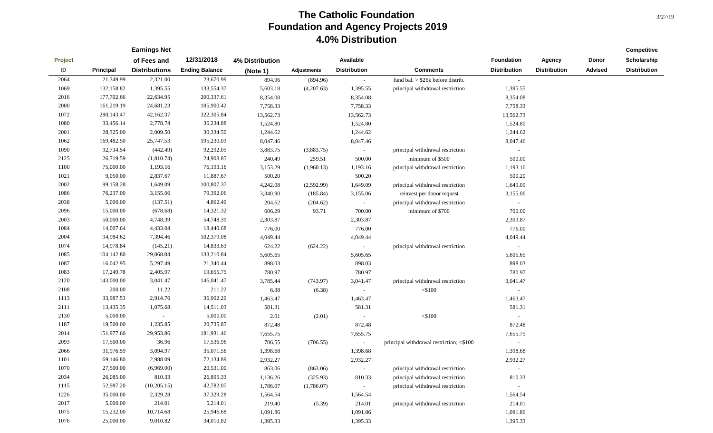|         |              | <b>Earnings Net</b>  |                       |                 |                    |                     |                                          |                          |                     |                | Competitive         |
|---------|--------------|----------------------|-----------------------|-----------------|--------------------|---------------------|------------------------------------------|--------------------------|---------------------|----------------|---------------------|
| Project |              | of Fees and          | 12/31/2018            | 4% Distribution |                    | Available           |                                          | Foundation               | Agency              | Donor          | Scholarship         |
| ID      | Principal    | <b>Distributions</b> | <b>Ending Balance</b> | (Note 1)        | <b>Adjustments</b> | <b>Distribution</b> | <b>Comments</b>                          | <b>Distribution</b>      | <b>Distribution</b> | <b>Advised</b> | <b>Distribution</b> |
| 2064    | 21,349.99    | 2,321.00             | 23,670.99             | 894.96          | (894.96)           | $\sim$              | fund bal. $>$ \$26 $k$ before distrib.   | $\sim$                   |                     |                |                     |
| 1069    | 132,158.82   | 1,395.55             | 133,554.37            | 5,603.18        | (4,207.63)         | 1,395.55            | principal withdrawal restriction         | 1,395.55                 |                     |                |                     |
| 2016    | 177,702.66   | 22,634.95            | 200,337.61            | 8,354.08        |                    | 8,354.08            |                                          | 8,354.08                 |                     |                |                     |
| 2000    | 161,219.19   | 24,681.23            | 185,900.42            | 7,758.33        |                    | 7,758.33            |                                          | 7,758.33                 |                     |                |                     |
| 1072    | 280, 143. 47 | 42,162.37            | 322,305.84            | 13,562.73       |                    | 13,562.73           |                                          | 13,562.73                |                     |                |                     |
| 1080    | 33,456.14    | 2,778.74             | 36,234.88             | 1,524.80        |                    | 1,524.80            |                                          | 1,524.80                 |                     |                |                     |
| 2001    | 28,325.00    | 2,009.50             | 30,334.50             | 1,244.62        |                    | 1,244.62            |                                          | 1,244.62                 |                     |                |                     |
| 1062    | 169,482.50   | 25,747.53            | 195,230.03            | 8,047.46        |                    | 8,047.46            |                                          | 8,047.46                 |                     |                |                     |
| 1090    | 92,734.54    | (442.49)             | 92,292.05             | 3,883.75        | (3,883.75)         | $\sim$              | principal withdrawal restriction         |                          |                     |                |                     |
| 2125    | 26,719.59    | (1,810.74)           | 24,908.85             | 240.49          | 259.51             | 500.00              | minimum of \$500                         | 500.00                   |                     |                |                     |
| 1100    | 75,000.00    | 1,193.16             | 76,193.16             | 3,153.29        | (1,960.13)         | 1,193.16            | principal withdrawal restriction         | 1,193.16                 |                     |                |                     |
| 1021    | 9,050.00     | 2,837.67             | 11,887.67             | 500.20          |                    | 500.20              |                                          | 500.20                   |                     |                |                     |
| 2002    | 99,158.28    | 1,649.09             | 100,807.37            | 4,242.08        | (2,592.99)         | 1,649.09            | principal withdrawal restriction         | 1,649.09                 |                     |                |                     |
| 1086    | 76,237.00    | 3,155.06             | 79,392.06             | 3,340.90        | (185.84)           | 3,155.06            | reinvest per donor request               | 3,155.06                 |                     |                |                     |
| 2038    | 5,000.00     | (137.51)             | 4,862.49              | 204.62          | (204.62)           | $\sim$              | principal withdrawal restriction         | $\sim$                   |                     |                |                     |
| 2096    | 15,000.00    | (678.68)             | 14,321.32             | 606.29          | 93.71              | 700.00              | minimum of \$700                         | 700.00                   |                     |                |                     |
| 2003    | 50,000.00    | 4,748.39             | 54,748.39             | 2,303.87        |                    | 2,303.87            |                                          | 2,303.87                 |                     |                |                     |
| 1084    | 14,007.64    | 4,433.04             | 18,440.68             | 776.00          |                    | 776.00              |                                          | 776.00                   |                     |                |                     |
| 2004    | 94,984.62    | 7,394.46             | 102,379.08            | 4,049.44        |                    | 4,049.44            |                                          | 4,049.44                 |                     |                |                     |
| 1074    | 14,978.84    | (145.21)             | 14,833.63             | 624.22          | (624.22)           | $\sim$              | principal withdrawal restriction         | $\overline{\phantom{a}}$ |                     |                |                     |
| 1085    | 104,142.80   | 29,068.04            | 133,210.84            | 5,605.65        |                    | 5,605.65            |                                          | 5,605.65                 |                     |                |                     |
| 1087    | 16,042.95    | 5,297.49             | 21,340.44             | 898.03          |                    | 898.03              |                                          | 898.03                   |                     |                |                     |
| 1083    | 17,249.78    | 2,405.97             | 19,655.75             | 780.97          |                    | 780.97              |                                          | 780.97                   |                     |                |                     |
| 2120    | 143,000.00   | 3,041.47             | 146,041.47            | 3,785.44        | (743.97)           | 3,041.47            | principal withdrawal restriction         | 3,041.47                 |                     |                |                     |
| 2108    | 200.00       | 11.22                | 211.22                | 6.38            | (6.38)             | $\sim$              | $<$ \$100                                |                          |                     |                |                     |
| 1113    | 33,987.53    | 2,914.76             | 36,902.29             | 1,463.47        |                    | 1,463.47            |                                          | 1,463.47                 |                     |                |                     |
| 2111    | 13,435.35    | 1,075.68             | 14,511.03             | 581.31          |                    | 581.31              |                                          | 581.31                   |                     |                |                     |
| 2130    | 5,000.00     | $\sim$               | 5,000.00              | 2.01            | (2.01)             | $\sim$              | $<$ \$100                                |                          |                     |                |                     |
| 1187    | 19,500.00    | 1,235.85             | 20,735.85             | 872.48          |                    | 872.48              |                                          | 872.48                   |                     |                |                     |
| 2014    | 151,977.60   | 29,953.86            | 181,931.46            | 7,655.75        |                    | 7,655.75            |                                          | 7,655.75                 |                     |                |                     |
| 2093    | 17,500.00    | 36.96                | 17,536.96             | 706.55          | (706.55)           | $\sim$              | principal withdrawal restriction; <\$100 |                          |                     |                |                     |
| 2066    | 31,976.59    | 3,094.97             | 35,071.56             | 1,398.68        |                    | 1,398.68            |                                          | 1,398.68                 |                     |                |                     |
| 1101    | 69,146.80    | 2,988.09             | 72,134.89             | 2,932.27        |                    | 2,932.27            |                                          | 2,932.27                 |                     |                |                     |
| 1070    | 27,500.00    | (6,969.00)           | 20,531.00             | 863.06          | (863.06)           | $\sim$              | principal withdrawal restriction         | $\sim$                   |                     |                |                     |
| 2034    | 26,085.00    | 810.33               | 26,895.33             | 1,136.26        | (325.93)           | 810.33              | principal withdrawal restriction         | 810.33                   |                     |                |                     |
| 1115    | 52,987.20    | (10, 205.15)         | 42,782.05             | 1,786.07        | (1,786.07)         | $\sim$              | principal withdrawal restriction         | $\sim$                   |                     |                |                     |
| 1226    | 35,000.00    | 2,329.28             | 37,329.28             | 1,564.54        |                    | 1,564.54            |                                          | 1,564.54                 |                     |                |                     |
| 2017    | 5,000.00     | 214.01               | 5,214.01              | 219.40          | (5.39)             | 214.01              | principal withdrawal restriction         | 214.01                   |                     |                |                     |
| 1075    | 15,232.00    | 10,714.68            | 25,946.68             | 1,091.86        |                    | 1,091.86            |                                          | 1,091.86                 |                     |                |                     |
| 1076    | 25,000.00    | 9,010.82             | 34,010.82             | 1,395.33        |                    | 1,395.33            |                                          | 1,395.33                 |                     |                |                     |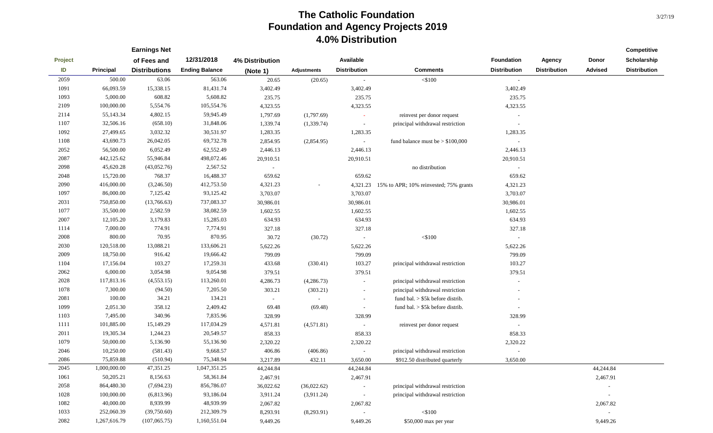|         |                  | <b>Earnings Net</b>  |                       |                 |                    |                     |                                                 |                     |                     |                          | Competitive         |
|---------|------------------|----------------------|-----------------------|-----------------|--------------------|---------------------|-------------------------------------------------|---------------------|---------------------|--------------------------|---------------------|
| Project |                  | of Fees and          | 12/31/2018            | 4% Distribution |                    | Available           |                                                 | <b>Foundation</b>   | <b>Agency</b>       | Donor                    | Scholarship         |
| ID      | <b>Principal</b> | <b>Distributions</b> | <b>Ending Balance</b> | (Note 1)        | <b>Adjustments</b> | <b>Distribution</b> | <b>Comments</b>                                 | <b>Distribution</b> | <b>Distribution</b> | <b>Advised</b>           | <b>Distribution</b> |
| 2059    | 500.00           | 63.06                | 563.06                | 20.65           | (20.65)            |                     | $<$ \$100                                       | $\sim$              |                     |                          |                     |
| 1091    | 66,093.59        | 15,338.15            | 81,431.74             | 3,402.49        |                    | 3,402.49            |                                                 | 3,402.49            |                     |                          |                     |
| 1093    | 5,000.00         | 608.82               | 5,608.82              | 235.75          |                    | 235.75              |                                                 | 235.75              |                     |                          |                     |
| 2109    | 100,000.00       | 5,554.76             | 105,554.76            | 4,323.55        |                    | 4,323.55            |                                                 | 4,323.55            |                     |                          |                     |
| 2114    | 55,143.34        | 4,802.15             | 59,945.49             | 1,797.69        | (1,797.69)         |                     | reinvest per donor request                      |                     |                     |                          |                     |
| 1107    | 32,506.16        | (658.10)             | 31,848.06             | 1,339.74        | (1,339.74)         | $\sim$              | principal withdrawal restriction                | $\sim$              |                     |                          |                     |
| 1092    | 27,499.65        | 3,032.32             | 30,531.97             | 1,283.35        |                    | 1,283.35            |                                                 | 1,283.35            |                     |                          |                     |
| 1108    | 43,690.73        | 26,042.05            | 69,732.78             | 2,854.95        | (2,854.95)         | $\sim$              | fund balance must be $> $100,000$               | $\sim$              |                     |                          |                     |
| 2052    | 56,500.00        | 6,052.49             | 62,552.49             | 2,446.13        |                    | 2,446.13            |                                                 | 2,446.13            |                     |                          |                     |
| 2087    | 442,125.62       | 55,946.84            | 498,072.46            | 20,910.51       |                    | 20,910.51           |                                                 | 20,910.51           |                     |                          |                     |
| 2098    | 45,620.28        | (43,052.76)          | 2,567.52              | $\sim$          |                    |                     | no distribution                                 | $\sim$              |                     |                          |                     |
| 2048    | 15,720.00        | 768.37               | 16,488.37             | 659.62          |                    | 659.62              |                                                 | 659.62              |                     |                          |                     |
| 2090    | 416,000.00       | (3,246.50)           | 412,753.50            | 4,321.23        |                    |                     | 4,321.23 15% to APR; 10% reinvested; 75% grants | 4,321.23            |                     |                          |                     |
| 1097    | 86,000.00        | 7,125.42             | 93,125.42             | 3,703.07        |                    | 3,703.07            |                                                 | 3,703.07            |                     |                          |                     |
| 2031    | 750,850.00       | (13,766.63)          | 737,083.37            | 30,986.01       |                    | 30,986.01           |                                                 | 30,986.01           |                     |                          |                     |
| 1077    | 35,500.00        | 2,582.59             | 38,082.59             | 1,602.55        |                    | 1,602.55            |                                                 | 1,602.55            |                     |                          |                     |
| 2007    | 12,105.20        | 3,179.83             | 15,285.03             | 634.93          |                    | 634.93              |                                                 | 634.93              |                     |                          |                     |
| 1114    | 7,000.00         | 774.91               | 7,774.91              | 327.18          |                    | 327.18              |                                                 | 327.18              |                     |                          |                     |
| 2008    | 800.00           | 70.95                | 870.95                | 30.72           | (30.72)            |                     | $<$ \$100                                       | $\sim$              |                     |                          |                     |
| 2030    | 120,518.00       | 13,088.21            | 133,606.21            | 5,622.26        |                    | 5,622.26            |                                                 | 5,622.26            |                     |                          |                     |
| 2009    | 18,750.00        | 916.42               | 19,666.42             | 799.09          |                    | 799.09              |                                                 | 799.09              |                     |                          |                     |
| 1104    | 17,156.04        | 103.27               | 17,259.31             | 433.68          | (330.41)           | 103.27              | principal withdrawal restriction                | 103.27              |                     |                          |                     |
| 2062    | 6,000.00         | 3,054.98             | 9,054.98              | 379.51          |                    | 379.51              |                                                 | 379.51              |                     |                          |                     |
| 2028    | 117,813.16       | (4, 553.15)          | 113,260.01            | 4,286.73        | (4,286.73)         | $\sim$              | principal withdrawal restriction                |                     |                     |                          |                     |
| 1078    | 7,300.00         | (94.50)              | 7,205.50              | 303.21          | (303.21)           |                     | principal withdrawal restriction                |                     |                     |                          |                     |
| 2081    | 100.00           | 34.21                | 134.21                | $\sim$          |                    | $\sim$              | fund bal. $> $5k$ before distrib.               |                     |                     |                          |                     |
| 1099    | 2,051.30         | 358.12               | 2,409.42              | 69.48           | (69.48)            | $\sim$              | fund bal. $>$ \$5k before distrib.              | $\sim$              |                     |                          |                     |
| 1103    | 7,495.00         | 340.96               | 7,835.96              | 328.99          |                    | 328.99              |                                                 | 328.99              |                     |                          |                     |
| 1111    | 101,885.00       | 15,149.29            | 117,034.29            | 4,571.81        | (4,571.81)         | $\sim$              | reinvest per donor request                      | $\sim$              |                     |                          |                     |
| 2011    | 19,305.34        | 1,244.23             | 20,549.57             | 858.33          |                    | 858.33              |                                                 | 858.33              |                     |                          |                     |
| 1079    | 50,000.00        | 5,136.90             | 55,136.90             | 2,320.22        |                    | 2,320.22            |                                                 | 2,320.22            |                     |                          |                     |
| 2046    | 10,250.00        | (581.43)             | 9,668.57              | 406.86          | (406.86)           | $\sim$              | principal withdrawal restriction                |                     |                     |                          |                     |
| 2086    | 75,859.88        | (510.94)             | 75,348.94             | 3,217.89        | 432.11             | 3,650.00            | \$912.50 distributed quarterly                  | 3,650.00            |                     |                          |                     |
| 2045    | 1,000,000.00     | 47,351.25            | 1,047,351.25          | 44,244.84       |                    | 44,244.84           |                                                 |                     |                     | 44,244.84                |                     |
| 1061    | 50,205.21        | 8,156.63             | 58,361.84             | 2,467.91        |                    | 2,467.91            |                                                 |                     |                     | 2,467.91                 |                     |
| 2058    | 864,480.30       | (7,694.23)           | 856,786.07            | 36,022.62       | (36,022.62)        | $\sim$              | principal withdrawal restriction                |                     |                     | $\sim$                   |                     |
| 1028    | 100,000.00       | (6,813.96)           | 93,186.04             | 3,911.24        | (3,911.24)         | $\sim$              | principal withdrawal restriction                |                     |                     | $\overline{\phantom{a}}$ |                     |
| 1082    | 40,000.00        | 8,939.99             | 48,939.99             | 2,067.82        |                    | 2,067.82            |                                                 |                     |                     | 2,067.82                 |                     |
| 1033    | 252,060.39       | (39,750.60)          | 212,309.79            | 8,293.91        | (8,293.91)         | $\sim$              | $<\!\!\$100$                                    |                     |                     | $\sim$                   |                     |
| 2082    | 1,267,616.79     | (107,065.75)         | 1,160,551.04          | 9,449.26        |                    | 9,449.26            | $$50,000$ max per year                          |                     |                     | 9,449.26                 |                     |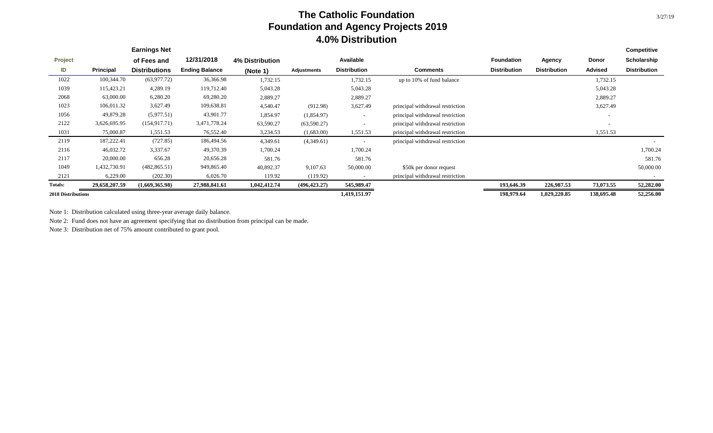|                           |               | <b>Earnings Net</b>  |                       |                        |               |                          |                                  |                     |                     |            | <b>Competitive</b>  |
|---------------------------|---------------|----------------------|-----------------------|------------------------|---------------|--------------------------|----------------------------------|---------------------|---------------------|------------|---------------------|
| <b>Project</b>            |               | of Fees and          | 12/31/2018            | <b>4% Distribution</b> |               | Available                |                                  | <b>Foundation</b>   | Agency              | Donor      | Scholarship         |
| ID                        | Principal     | <b>Distributions</b> | <b>Ending Balance</b> | (Note 1)               | Adjustments   | <b>Distribution</b>      | <b>Comments</b>                  | <b>Distribution</b> | <b>Distribution</b> | Advised    | <b>Distribution</b> |
| 1022                      | 100,344.70    | (63,977.72)          | 36,366.98             | 1,732.15               |               | 1,732.15                 | up to 10% of fund balance        |                     |                     | 1,732.15   |                     |
| 1039                      | 115,423.21    | 4,289.19             | 119,712.40            | 5,043.28               |               | 5,043.28                 |                                  |                     |                     | 5,043.28   |                     |
| 2068                      | 63,000.00     | 6,280.20             | 69,280.20             | 2,889.27               |               | 2,889.27                 |                                  |                     |                     | 2,889.27   |                     |
| 1023                      | 106,011.32    | 3,627.49             | 109,638.81            | 4,540.47               | (912.98)      | 3,627.49                 | principal withdrawal restriction |                     |                     | 3,627.49   |                     |
| 1056                      | 49,879.28     | (5,977.51)           | 43,901.77             | 1,854.97               | (1,854.97)    | $\overline{\phantom{a}}$ | principal withdrawal restriction |                     |                     |            |                     |
| 2122                      | 3,626,695.95  | (154, 917.71)        | 3,471,778.24          | 63,590.27              | (63,590.27)   | $\overline{\phantom{0}}$ | principal withdrawal restriction |                     |                     | $\sim$     |                     |
| 1031                      | 75,000.87     | 1,551.53             | 76,552.40             | 3,234.53               | (1,683.00)    | 1,551.53                 | principal withdrawal restriction |                     |                     | 1,551.53   |                     |
| 2119                      | 187,222.41    | (727.85)             | 186,494.56            | 4,349.61               | (4,349.61)    |                          | principal withdrawal restriction |                     |                     |            |                     |
| 2116                      | 46,032.72     | 3,337.67             | 49,370.39             | 1,700.24               |               | 1,700.24                 |                                  |                     |                     |            | 1,700.24            |
| 2117                      | 20,000.00     | 656.28               | 20,656.28             | 581.76                 |               | 581.76                   |                                  |                     |                     |            | 581.76              |
| 1049                      | 1,432,730.91  | (482, 865.51)        | 949,865.40            | 40,892.37              | 9,107.63      | 50,000.00                | \$50k per donor request          |                     |                     |            | 50,000.00           |
| 2121                      | 6,229.00      | (202.30)             | 6,026.70              | 119.92                 | (119.92)      | $\sim$                   | principal withdrawal restriction |                     |                     |            |                     |
| <b>Totals:</b>            | 29,658,207.59 | (1,669,365.98)       | 27,988,841.61         | 1,042,412.74           | (496, 423.27) | 545,989.47               |                                  | 193,646.39          | 226,987.53          | 73,073.55  | 52,282.00           |
| <b>2018 Distributions</b> |               |                      |                       |                        |               | 1,419,151.97             |                                  | 198,979.64          | 1,029,220.85        | 138,695.48 | 52,256.00           |

Note 1: Distribution calculated using three-year average daily balance.

Note 2: Fund does not have an agreement specifying that no distribution from principal can be made.

Note 3: Distribution net of 75% amount contributed to grant pool.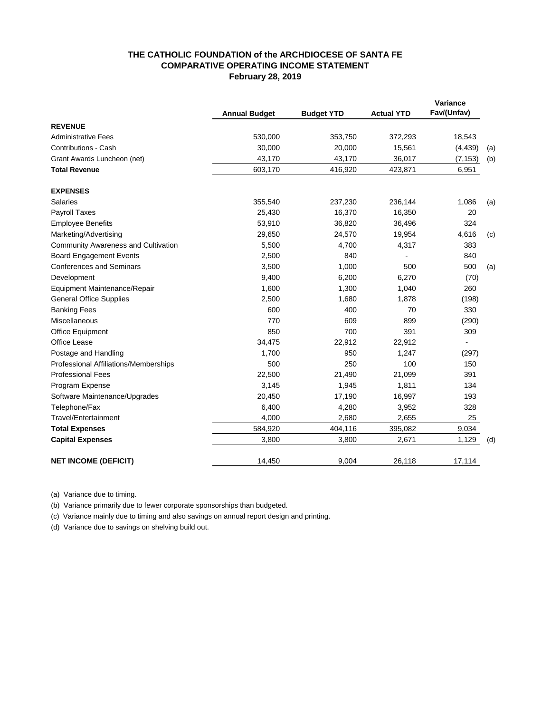#### **February 28, 2019 COMPARATIVE OPERATING INCOME STATEMENT THE CATHOLIC FOUNDATION of the ARCHDIOCESE OF SANTA FE**

|                                            | <b>Annual Budget</b> | <b>Budget YTD</b> | <b>Actual YTD</b> | Variance<br>Fav/(Unfav) |     |
|--------------------------------------------|----------------------|-------------------|-------------------|-------------------------|-----|
| <b>REVENUE</b>                             |                      |                   |                   |                         |     |
| <b>Administrative Fees</b>                 | 530,000              | 353,750           | 372,293           | 18,543                  |     |
| <b>Contributions - Cash</b>                | 30,000               | 20,000            | 15,561            | (4, 439)                | (a) |
| Grant Awards Luncheon (net)                | 43,170               | 43,170            | 36,017            | (7, 153)                | (b) |
| <b>Total Revenue</b>                       | 603,170              | 416,920           | 423,871           | 6,951                   |     |
| <b>EXPENSES</b>                            |                      |                   |                   |                         |     |
| <b>Salaries</b>                            | 355,540              | 237,230           | 236,144           | 1,086                   | (a) |
| Payroll Taxes                              | 25,430               | 16,370            | 16,350            | 20                      |     |
| <b>Employee Benefits</b>                   | 53,910               | 36,820            | 36,496            | 324                     |     |
| Marketing/Advertising                      | 29,650               | 24,570            | 19,954            | 4,616                   | (c) |
| <b>Community Awareness and Cultivation</b> | 5,500                | 4,700             | 4,317             | 383                     |     |
| <b>Board Engagement Events</b>             | 2,500                | 840               |                   | 840                     |     |
| <b>Conferences and Seminars</b>            | 3,500                | 1,000             | 500               | 500                     | (a) |
| Development                                | 9,400                | 6,200             | 6,270             | (70)                    |     |
| Equipment Maintenance/Repair               | 1,600                | 1,300             | 1,040             | 260                     |     |
| <b>General Office Supplies</b>             | 2,500                | 1,680             | 1,878             | (198)                   |     |
| <b>Banking Fees</b>                        | 600                  | 400               | 70                | 330                     |     |
| Miscellaneous                              | 770                  | 609               | 899               | (290)                   |     |
| Office Equipment                           | 850                  | 700               | 391               | 309                     |     |
| <b>Office Lease</b>                        | 34,475               | 22,912            | 22,912            |                         |     |
| Postage and Handling                       | 1,700                | 950               | 1,247             | (297)                   |     |
| Professional Affiliations/Memberships      | 500                  | 250               | 100               | 150                     |     |
| <b>Professional Fees</b>                   | 22,500               | 21,490            | 21,099            | 391                     |     |
| Program Expense                            | 3,145                | 1,945             | 1,811             | 134                     |     |
| Software Maintenance/Upgrades              | 20,450               | 17,190            | 16,997            | 193                     |     |
| Telephone/Fax                              | 6,400                | 4,280             | 3,952             | 328                     |     |
| Travel/Entertainment                       | 4,000                | 2,680             | 2,655             | 25                      |     |
| <b>Total Expenses</b>                      | 584,920              | 404,116           | 395,082           | 9,034                   |     |
| <b>Capital Expenses</b>                    | 3,800                | 3,800             | 2,671             | 1,129                   | (d) |
| <b>NET INCOME (DEFICIT)</b>                | 14,450               | 9,004             | 26,118            | 17,114                  |     |

(a) Variance due to timing.

(b) Variance primarily due to fewer corporate sponsorships than budgeted.

(c) Variance mainly due to timing and also savings on annual report design and printing.

(d) Variance due to savings on shelving build out.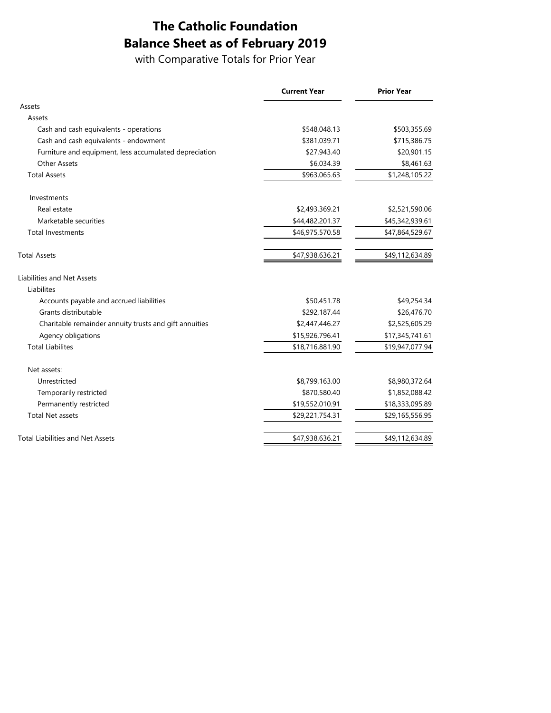# **The Catholic Foundation Balance Sheet as of February 2019**

with Comparative Totals for Prior Year

|                                                        | <b>Current Year</b> | <b>Prior Year</b> |
|--------------------------------------------------------|---------------------|-------------------|
| Assets                                                 |                     |                   |
| Assets                                                 |                     |                   |
| Cash and cash equivalents - operations                 | \$548,048.13        | \$503,355.69      |
| Cash and cash equivalents - endowment                  | \$381,039.71        | \$715,386.75      |
| Furniture and equipment, less accumulated depreciation | \$27,943.40         | \$20,901.15       |
| <b>Other Assets</b>                                    | \$6,034.39          | \$8,461.63        |
| <b>Total Assets</b>                                    | \$963,065.63        | \$1,248,105.22    |
| Investments                                            |                     |                   |
| Real estate                                            | \$2,493,369.21      | \$2,521,590.06    |
| Marketable securities                                  | \$44,482,201.37     | \$45,342,939.61   |
| <b>Total Investments</b>                               | \$46,975,570.58     | \$47,864,529.67   |
| <b>Total Assets</b>                                    | \$47,938,636.21     | \$49,112,634.89   |
| <b>Liabilities and Net Assets</b>                      |                     |                   |
| Liabilites                                             |                     |                   |
| Accounts payable and accrued liabilities               | \$50,451.78         | \$49,254.34       |
| Grants distributable                                   | \$292,187.44        | \$26,476.70       |
| Charitable remainder annuity trusts and gift annuities | \$2,447,446.27      | \$2,525,605.29    |
| Agency obligations                                     | \$15,926,796.41     | \$17,345,741.61   |
| <b>Total Liabilites</b>                                | \$18,716,881.90     | \$19,947,077.94   |
| Net assets:                                            |                     |                   |
| Unrestricted                                           | \$8,799,163.00      | \$8,980,372.64    |
| Temporarily restricted                                 | \$870,580.40        | \$1,852,088.42    |
| Permanently restricted                                 | \$19,552,010.91     | \$18,333,095.89   |
| <b>Total Net assets</b>                                | \$29,221,754.31     | \$29,165,556.95   |
| <b>Total Liabilities and Net Assets</b>                | \$47,938,636.21     | \$49,112,634.89   |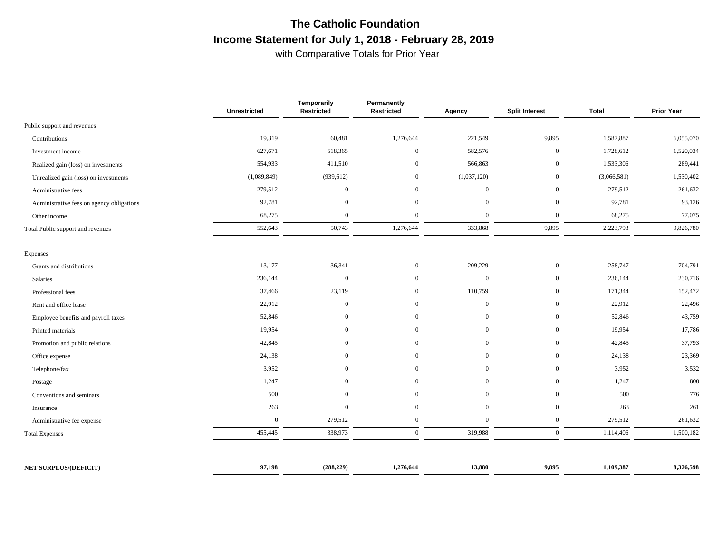# **The Catholic Foundation Income Statement for July 1, 2018 - February 28, 2019**

with Comparative Totals for Prior Year

|                                           | <b>Unrestricted</b> | Temporarily<br>Restricted | Permanently<br>Restricted | Agency         | <b>Split Interest</b> | <b>Total</b> | <b>Prior Year</b> |
|-------------------------------------------|---------------------|---------------------------|---------------------------|----------------|-----------------------|--------------|-------------------|
| Public support and revenues               |                     |                           |                           |                |                       |              |                   |
| Contributions                             | 19,319              | 60,481                    | 1,276,644                 | 221,549        | 9,895                 | 1,587,887    | 6,055,070         |
| Investment income                         | 627,671             | 518,365                   | $\mathbf{0}$              | 582,576        | $\mathbf{0}$          | 1,728,612    | 1,520,034         |
| Realized gain (loss) on investments       | 554,933             | 411,510                   | $\overline{0}$            | 566,863        | $\overline{0}$        | 1,533,306    | 289,441           |
| Unrealized gain (loss) on investments     | (1,089,849)         | (939, 612)                | $\overline{0}$            | (1,037,120)    | $\mathbf{0}$          | (3,066,581)  | 1,530,402         |
| Administrative fees                       | 279,512             | $\overline{0}$            | $\overline{0}$            | $\mathbf{0}$   | $\overline{0}$        | 279,512      | 261,632           |
| Administrative fees on agency obligations | 92,781              | $\mathbf{0}$              | $\overline{0}$            | $\overline{0}$ | $\mathbf{0}$          | 92,781       | 93,126            |
| Other income                              | 68,275              | $\overline{0}$            | $\overline{0}$            | $\overline{0}$ | $\mathbf{0}$          | 68,275       | 77,075            |
| Total Public support and revenues         | 552,643             | 50,743                    | 1,276,644                 | 333,868        | 9,895                 | 2,223,793    | 9,826,780         |
| Expenses                                  |                     |                           |                           |                |                       |              |                   |
| Grants and distributions                  | 13,177              | 36,341                    | $\overline{0}$            | 209,229        | $\overline{0}$        | 258,747      | 704,791           |
| Salaries                                  | 236,144             | $\boldsymbol{0}$          | $\overline{0}$            | $\mathbf{0}$   | $\boldsymbol{0}$      | 236,144      | 230,716           |
| Professional fees                         | 37,466              | 23,119                    | $\overline{0}$            | 110,759        | $\mathbf{0}$          | 171,344      | 152,472           |
| Rent and office lease                     | 22,912              | $\mathbf{0}$              | $\overline{0}$            | $\mathbf{0}$   | $\mathbf{0}$          | 22,912       | 22,496            |
| Employee benefits and payroll taxes       | 52,846              | $\mathbf{0}$              | $\overline{0}$            | $\mathbf{0}$   | $\mathbf{0}$          | 52,846       | 43,759            |
| Printed materials                         | 19,954              | $\overline{0}$            | $\overline{0}$            | $\overline{0}$ | $\overline{0}$        | 19,954       | 17,786            |
| Promotion and public relations            | 42,845              | $\mathbf{0}$              | $\overline{0}$            | $\overline{0}$ | $\mathbf{0}$          | 42,845       | 37,793            |
| Office expense                            | 24,138              | $\mathbf{0}$              | $\overline{0}$            | $\overline{0}$ | $\mathbf{0}$          | 24,138       | 23,369            |
| Telephone/fax                             | 3,952               | $\mathbf{0}$              | $\mathbf{0}$              | $\mathbf{0}$   | $\mathbf{0}$          | 3,952        | 3,532             |
| Postage                                   | 1,247               | $\overline{0}$            | $\overline{0}$            | $\overline{0}$ | $\mathbf{0}$          | 1,247        | 800               |
| Conventions and seminars                  | 500                 | $\overline{0}$            | $\overline{0}$            | $\overline{0}$ | $\overline{0}$        | 500          | 776               |
| Insurance                                 | 263                 | $\mathbf{0}$              | $\overline{0}$            | $\theta$       | $\overline{0}$        | 263          | 261               |
| Administrative fee expense                | $\mathbf{0}$        | 279,512                   | $\mathbf{0}$              | $\mathbf{0}$   | $\boldsymbol{0}$      | 279,512      | 261,632           |
| <b>Total Expenses</b>                     | 455,445             | 338,973                   | $\mathbf{0}$              | 319,988        | $\overline{0}$        | 1,114,406    | 1,500,182         |
|                                           |                     |                           |                           |                |                       |              |                   |
| <b>NET SURPLUS/(DEFICIT)</b>              | 97,198              | (288, 229)                | 1,276,644                 | 13,880         | 9,895                 | 1,109,387    | 8,326,598         |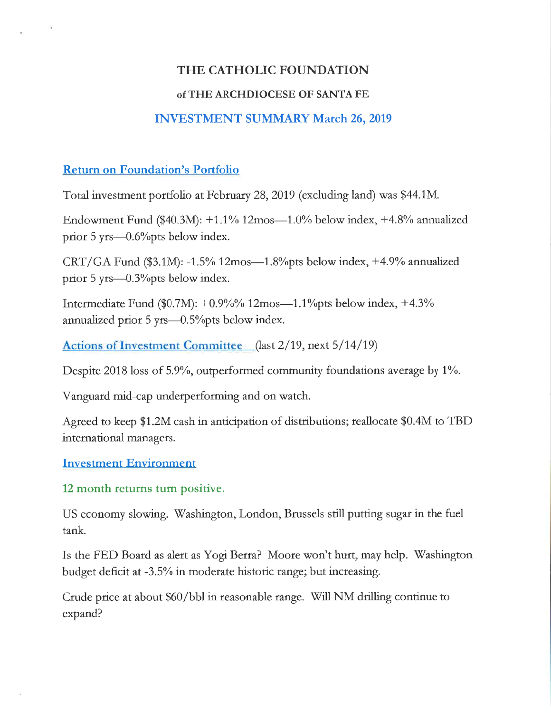## THE CATHOLIC FOUNDATION

### of THE ARCHDIOCESE OF SANTA FE

## **INVESTMENT SUMMARY March 26, 2019**

### **Return on Foundation's Portfolio**

Total investment portfolio at February 28, 2019 (excluding land) was \$44.1M.

Endowment Fund (\$40.3M):  $+1.1\%$  12mos— $1.0\%$  below index,  $+4.8\%$  annualized prior 5 yrs—0.6% pts below index.

CRT/GA Fund  $(\$3.1M)$ : -1.5% 12mos—1.8% pts below index, +4.9% annualized prior 5 yrs—0.3% pts below index.

Intermediate Fund (\$0.7M):  $+0.9\%$ % 12mos—1.1% below index,  $+4.3\%$ annualized prior 5 yrs—0.5% pts below index.

Actions of Investment Committee (last 2/19, next 5/14/19)

Despite 2018 loss of 5.9%, outperformed community foundations average by 1%.

Vanguard mid-cap underperforming and on watch.

Agreed to keep \$1.2M cash in anticipation of distributions; reallocate \$0.4M to TBD international managers.

### **Investment Environment**

12 month returns turn positive.

US economy slowing. Washington, London, Brussels still putting sugar in the fuel tank.

Is the FED Board as alert as Yogi Berra? Moore won't hurt, may help. Washington budget deficit at -3.5% in moderate historic range; but increasing.

Crude price at about \$60/bbl in reasonable range. Will NM drilling continue to expand?